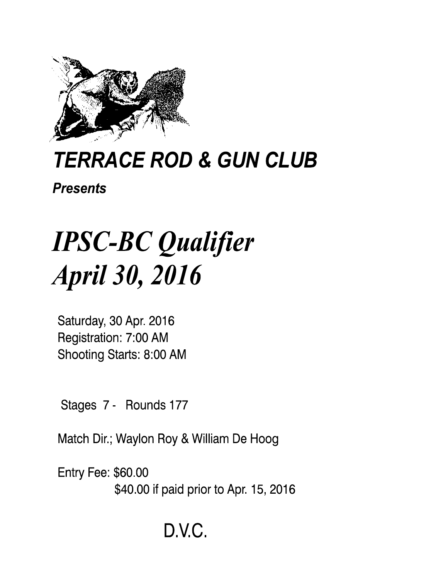

## **TERRACE ROD & GUN CLUB**

**Presents** 

# **IPSC-BC Qualifier April 30, 2016**

Saturday, 30 Apr. 2016 Registration: 7:00 AM Shooting Starts: 8:00 AM

Stages 7 - Rounds 177

Match Dir.; Waylon Roy & William De Hoog

**Entry Fee: \$60.00** \$40.00 if paid prior to Apr. 15, 2016

### D.V.C.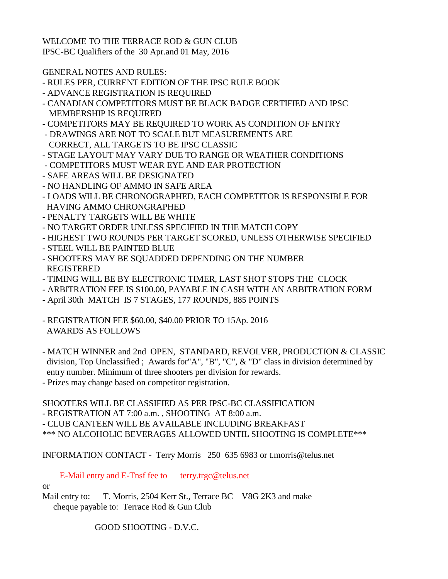WELCOME TO THE TERRACE ROD & GUN CLUB IPSC-BC Qualifiers of the 30 Apr.and 01 May, 2016

GENERAL NOTES AND RULES:

- RULES PER, CURRENT EDITION OF THE IPSC RULE BOOK
- ADVANCE REGISTRATION IS REQUIRED
- CANADIAN COMPETITORS MUST BE BLACK BADGE CERTIFIED AND IPSC MEMBERSHIP IS REQUIRED
- COMPETITORS MAY BE REQUIRED TO WORK AS CONDITION OF ENTRY
- DRAWINGS ARE NOT TO SCALE BUT MEASUREMENTS ARE CORRECT, ALL TARGETS TO BE IPSC CLASSIC
- STAGE LAYOUT MAY VARY DUE TO RANGE OR WEATHER CONDITIONS
- COMPETITORS MUST WEAR EYE AND EAR PROTECTION
- SAFE AREAS WILL BE DESIGNATED
- NO HANDLING OF AMMO IN SAFE AREA
- LOADS WILL BE CHRONOGRAPHED, EACH COMPETITOR IS RESPONSIBLE FOR HAVING AMMO CHRONGRAPHED
- PENALTY TARGETS WILL BE WHITE
- NO TARGET ORDER UNLESS SPECIFIED IN THE MATCH COPY
- HIGHEST TWO ROUNDS PER TARGET SCORED, UNLESS OTHERWISE SPECIFIED
- STEEL WILL BE PAINTED BLUE
- SHOOTERS MAY BE SQUADDED DEPENDING ON THE NUMBER REGISTERED
- TIMING WILL BE BY ELECTRONIC TIMER, LAST SHOT STOPS THE CLOCK
- ARBITRATION FEE IS \$100.00, PAYABLE IN CASH WITH AN ARBITRATION FORM
- April 30th MATCH IS 7 STAGES, 177 ROUNDS, 885 POINTS
- REGISTRATION FEE \$60.00, \$40.00 PRIOR TO 15Ap. 2016 AWARDS AS FOLLOWS
- MATCH WINNER and 2nd OPEN, STANDARD, REVOLVER, PRODUCTION & CLASSIC division, Top Unclassified ; Awards for"A", "B", "C", & "D" class in division determined by entry number. Minimum of three shooters per division for rewards.
- Prizes may change based on competitor registration.

SHOOTERS WILL BE CLASSIFIED AS PER IPSC-BC CLASSIFICATION

- REGISTRATION AT 7:00 a.m. , SHOOTING AT 8:00 a.m.

- CLUB CANTEEN WILL BE AVAILABLE INCLUDING BREAKFAST

\*\*\* NO ALCOHOLIC BEVERAGES ALLOWED UNTIL SHOOTING IS COMPLETE\*\*\*

INFORMATION CONTACT - Terry Morris 250 635 6983 or t.morris@telus.net

E-Mail entry and E-Tnsf fee to terry.trgc@telus.net

or

Mail entry to: T. Morris, 2504 Kerr St., Terrace BC V8G 2K3 and make cheque payable to: Terrace Rod & Gun Club

GOOD SHOOTING - D.V.C.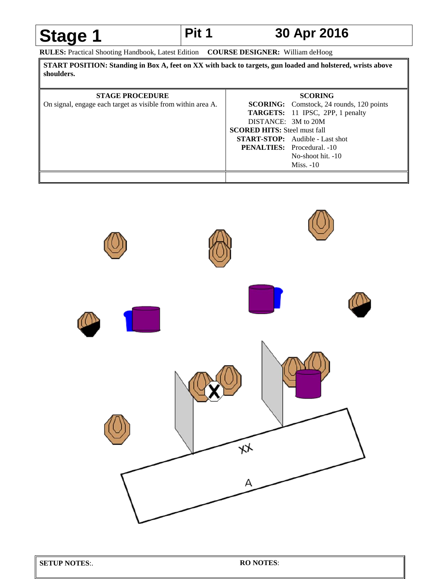### **Stage 1** Pit 1 30 Apr 2016

**RULES:** Practical Shooting Handbook, Latest Edition **COURSE DESIGNER:** William deHoog

**START POSITION: Standing in Box A, feet on XX with back to targets, gun loaded and holstered, wrists above shoulders.**

| <b>STAGE PROCEDURE</b>                                       |                                     | <b>SCORING</b>                                  |
|--------------------------------------------------------------|-------------------------------------|-------------------------------------------------|
| On signal, engage each target as visible from within area A. |                                     | <b>SCORING:</b> Comstock, 24 rounds, 120 points |
|                                                              |                                     | <b>TARGETS:</b> 11 IPSC, 2PP, 1 penalty         |
|                                                              | DISTANCE: 3M to 20M                 |                                                 |
|                                                              | <b>SCORED HITS:</b> Steel must fall |                                                 |
|                                                              |                                     | <b>START-STOP:</b> Audible - Last shot          |
|                                                              |                                     | <b>PENALTIES:</b> Procedural. -10               |
|                                                              |                                     | No-shoot hit. -10                               |
|                                                              |                                     | $Miss. -10$                                     |
|                                                              |                                     |                                                 |

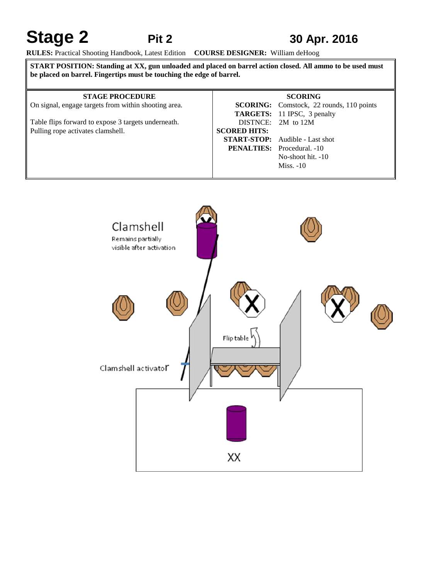### **Stage 2** Pit 2 30 Apr. 2016

**RULES:** Practical Shooting Handbook, Latest Edition **COURSE DESIGNER:** William deHoog

**START POSITION: Standing at XX, gun unloaded and placed on barrel action closed. All ammo to be used must be placed on barrel. Fingertips must be touching the edge of barrel.**

### **STAGE PROCEDURE**

On signal, engage targets from within shooting area.

Table flips forward to expose 3 targets underneath. Pulling rope activates clamshell.

|                     | <b>SCORING</b>                                  |
|---------------------|-------------------------------------------------|
|                     | <b>SCORING:</b> Comstock, 22 rounds, 110 points |
|                     | <b>TARGETS:</b> 11 IPSC, 3 penalty              |
|                     | DISTNCE: 2M to 12M                              |
| <b>SCORED HITS:</b> |                                                 |
|                     | <b>START-STOP:</b> Audible - Last shot          |
|                     | <b>PENALTIES:</b> Procedural. -10               |
|                     | No-shoot hit. $-10$                             |
|                     | $Miss. -10$                                     |

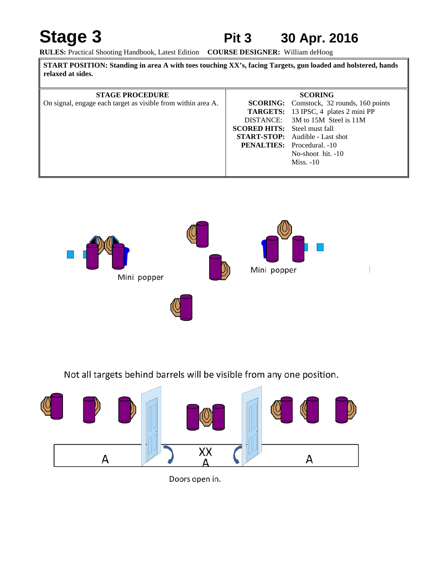### Stage 3 **Pit 3 30 Apr. 2016**

**RULES:** Practical Shooting Handbook, Latest Edition **COURSE DESIGNER:** William deHoog

| START POSITION: Standing in area A with toes touching XX's, facing Targets, gun loaded and holstered, hands<br>relaxed at sides. |                                     |                                                 |
|----------------------------------------------------------------------------------------------------------------------------------|-------------------------------------|-------------------------------------------------|
| <b>STAGE PROCEDURE</b>                                                                                                           |                                     | <b>SCORING</b>                                  |
| On signal, engage each target as visible from within area A.                                                                     |                                     | <b>SCORING:</b> Comstock, 32 rounds, 160 points |
|                                                                                                                                  |                                     | <b>TARGETS:</b> 13 IPSC, 4 plates 2 mini PP     |
|                                                                                                                                  |                                     | DISTANCE: 3M to 15M Steel is 11M                |
|                                                                                                                                  | <b>SCORED HITS:</b> Steel must fall |                                                 |
|                                                                                                                                  |                                     | <b>START-STOP:</b> Audible - Last shot          |
|                                                                                                                                  |                                     | <b>PENALTIES:</b> Procedural. -10               |
|                                                                                                                                  |                                     | No-shoot hit. -10                               |
|                                                                                                                                  |                                     | $Miss. -10$                                     |



Not all targets behind barrels will be visible from any one position.



Doors open in.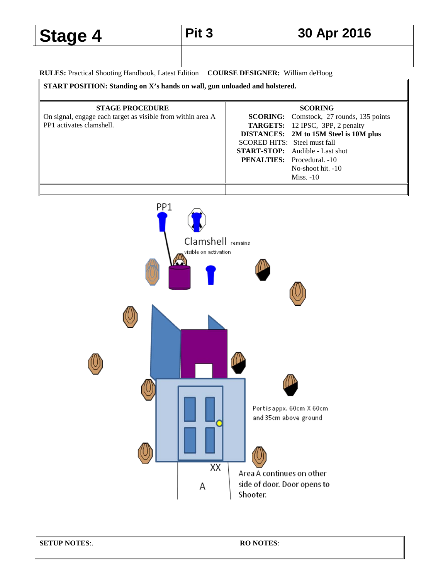### Stage 4 Pit 3 30 Apr 2016

**RULES:** Practical Shooting Handbook, Latest Edition **COURSE DESIGNER:** William deHoog

**START POSITION: Standing on X's hands on wall, gun unloaded and holstered.**

| <b>SCORING</b>                                                    |
|-------------------------------------------------------------------|
| <b>SCORING:</b> Comstock, 27 rounds, 135 points                   |
| <b>TARGETS:</b> 12 IPSC, 3PP, 2 penalty                           |
| DISTANCES: 2M to 15M Steel is 10M plus                            |
|                                                                   |
| <b>START-STOP:</b> Audible - Last shot                            |
|                                                                   |
| No-shoot hit. $-10$                                               |
| Miss. $-10$                                                       |
|                                                                   |
| SCORED HITS: Steel must fall<br><b>PENALTIES:</b> Procedural. -10 |

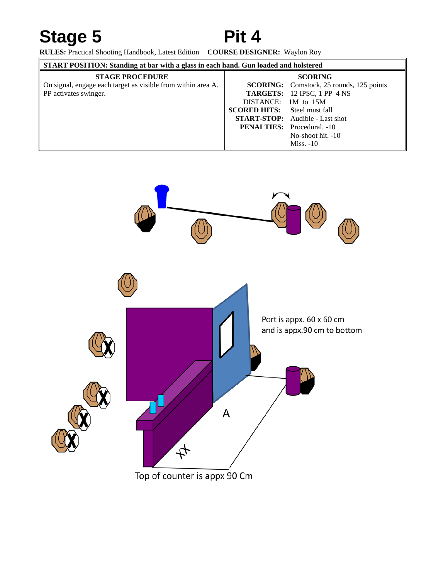### Stage 5 Pit 4

**RULES:** Practical Shooting Handbook, Latest Edition **COURSE DESIGNER:** Waylon Roy

| START POSITION: Standing at bar with a glass in each hand. Gun loaded and holstered |                                     |                                                 |
|-------------------------------------------------------------------------------------|-------------------------------------|-------------------------------------------------|
| <b>STAGE PROCEDURE</b>                                                              |                                     | <b>SCORING</b>                                  |
| On signal, engage each target as visible from within area A.                        |                                     | <b>SCORING:</b> Comstock, 25 rounds, 125 points |
| <b>PP</b> activates swinger.                                                        |                                     | <b>TARGETS:</b> 12 IPSC, 1 PP 4 NS              |
|                                                                                     | DISTANCE: 1M to 15M                 |                                                 |
|                                                                                     | <b>SCORED HITS:</b> Steel must fall |                                                 |
|                                                                                     |                                     | <b>START-STOP:</b> Audible - Last shot          |
|                                                                                     |                                     | <b>PENALTIES:</b> Procedural. -10               |
|                                                                                     |                                     | No-shoot hit. -10                               |
|                                                                                     |                                     | Miss. $-10$                                     |

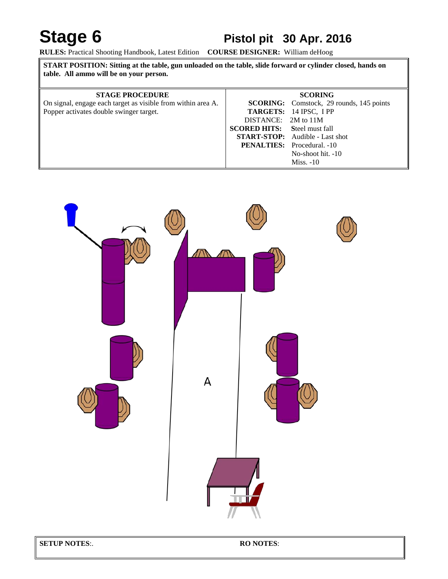### Stage 6 Pistol pit 30 Apr. 2016

**RULES:** Practical Shooting Handbook, Latest Edition **COURSE DESIGNER:** William deHoog

| START POSITION: Sitting at the table, gun unloaded on the table, slide forward or cylinder closed, hands on<br>table. All ammo will be on your person. |                                     |                                                 |
|--------------------------------------------------------------------------------------------------------------------------------------------------------|-------------------------------------|-------------------------------------------------|
| <b>STAGE PROCEDURE</b>                                                                                                                                 |                                     | <b>SCORING</b>                                  |
| On signal, engage each target as visible from within area A.                                                                                           |                                     | <b>SCORING:</b> Comstock, 29 rounds, 145 points |
| Popper activates double swinger target.                                                                                                                |                                     | <b>TARGETS:</b> 14 IPSC, I PP                   |
|                                                                                                                                                        | DISTANCE: 2M to 11M                 |                                                 |
|                                                                                                                                                        | <b>SCORED HITS:</b> Steel must fall |                                                 |
|                                                                                                                                                        |                                     | <b>START-STOP:</b> Audible - Last shot          |
|                                                                                                                                                        |                                     | <b>PENALTIES:</b> Procedural. -10               |
|                                                                                                                                                        |                                     | No-shoot hit. -10                               |
|                                                                                                                                                        |                                     | $Miss. -10$                                     |



**SETUP NOTES**:. **RO NOTES**: